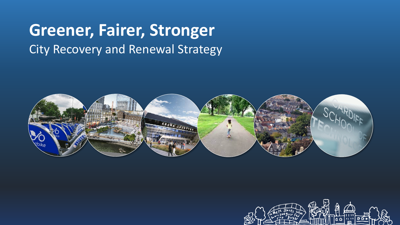### **Greener, Fairer, Stronger** City Recovery and Renewal Strategy



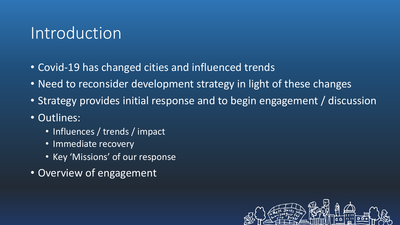### Introduction

- Covid-19 has changed cities and influenced trends
- Need to reconsider development strategy in light of these changes
- Strategy provides initial response and to begin engagement / discussion
- Outlines:
	- Influences / trends / impact
	- Immediate recovery
	- Key 'Missions' of our response
- Overview of engagement

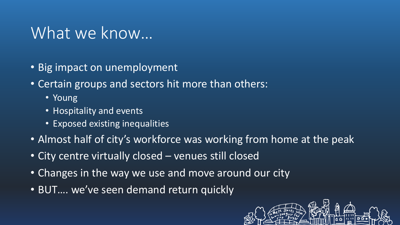### What we know...

- Big impact on unemployment
- Certain groups and sectors hit more than others:
	- Young
	- Hospitality and events
	- Exposed existing inequalities
- Almost half of city's workforce was working from home at the peak
- City centre virtually closed venues still closed
- Changes in the way we use and move around our city
- BUT…. we've seen demand return quickly

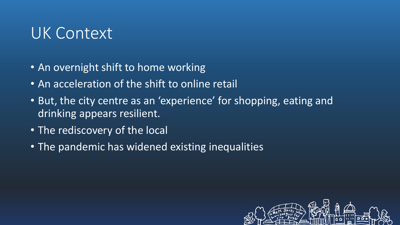## UK Context

- An overnight shift to home working
- An acceleration of the shift to online retail
- But, the city centre as an 'experience' for shopping, eating and drinking appears resilient.
- The rediscovery of the local
- The pandemic has widened existing inequalities

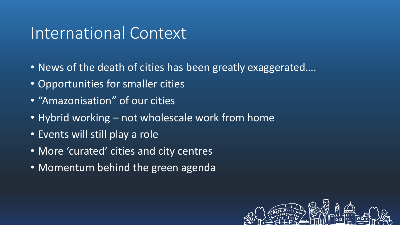### International Context

- News of the death of cities has been greatly exaggerated....
- Opportunities for smaller cities
- "Amazonisation" of our cities
- Hybrid working not wholescale work from home
- Events will still play a role
- More 'curated' cities and city centres
- Momentum behind the green agenda

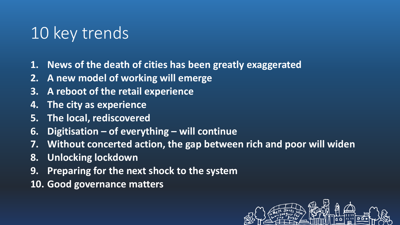# 10 key trends

- **1. News of the death of cities has been greatly exaggerated**
- **2. A new model of working will emerge**
- **3. A reboot of the retail experience**
- **4. The city as experience**
- **5. The local, rediscovered**
- **6. Digitisation – of everything – will continue**
- **7. Without concerted action, the gap between rich and poor will widen**
- **8. Unlocking lockdown**
- **9. Preparing for the next shock to the system**
- **10. Good governance matters**

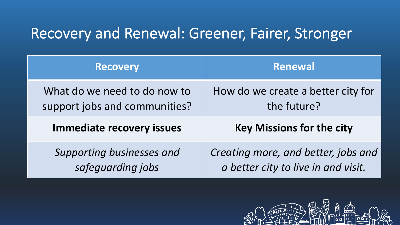### Recovery and Renewal: Greener, Fairer, Stronger

| <b>Recovery</b>                  | Renewal                             |
|----------------------------------|-------------------------------------|
| What do we need to do now to     | How do we create a better city for  |
| support jobs and communities?    | the future?                         |
| <b>Immediate recovery issues</b> | <b>Key Missions for the city</b>    |
| Supporting businesses and        | Creating more, and better, jobs and |
| safeguarding jobs                | a better city to live in and visit. |

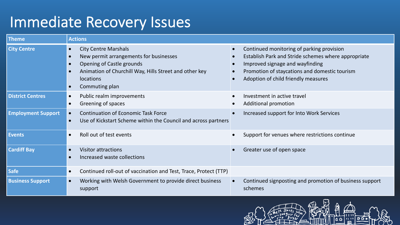### Immediate Recovery Issues

| <b>Theme</b>              | <b>Actions</b>                                                                                                                                                                                                                            |                                                                                                                                                                                                                             |
|---------------------------|-------------------------------------------------------------------------------------------------------------------------------------------------------------------------------------------------------------------------------------------|-----------------------------------------------------------------------------------------------------------------------------------------------------------------------------------------------------------------------------|
| <b>City Centre</b>        | <b>City Centre Marshals</b><br>$\bullet$<br>New permit arrangements for businesses<br>$\bullet$<br><b>Opening of Castle grounds</b><br>Animation of Churchill Way, Hills Street and other key<br>locations<br>Commuting plan<br>$\bullet$ | Continued monitoring of parking provision<br>Establish Park and Stride schemes where appropriate<br>Improved signage and wayfinding<br>Promotion of staycations and domestic tourism<br>Adoption of child friendly measures |
| <b>District Centres</b>   | Public realm improvements<br>$\bullet$<br>Greening of spaces<br>$\bullet$                                                                                                                                                                 | Investment in active travel<br><b>Additional promotion</b>                                                                                                                                                                  |
| <b>Employment Support</b> | <b>Continuation of Economic Task Force</b><br>$\bullet$<br>Use of Kickstart Scheme within the Council and across partners<br>$\bullet$                                                                                                    | Increased support for Into Work Services                                                                                                                                                                                    |
| <b>Events</b>             | Roll out of test events<br>$\bullet$                                                                                                                                                                                                      | Support for venues where restrictions continue                                                                                                                                                                              |
| <b>Cardiff Bay</b>        | <b>Visitor attractions</b><br>$\bullet$<br>Increased waste collections<br>$\bullet$                                                                                                                                                       | Greater use of open space                                                                                                                                                                                                   |
| <b>Safe</b>               | Continued roll-out of vaccination and Test, Trace, Protect (TTP)<br>$\bullet$                                                                                                                                                             |                                                                                                                                                                                                                             |
| <b>Business Support</b>   | Working with Welsh Government to provide direct business<br>$\bullet$<br>support                                                                                                                                                          | Continued signposting and promotion of business support<br>schemes                                                                                                                                                          |

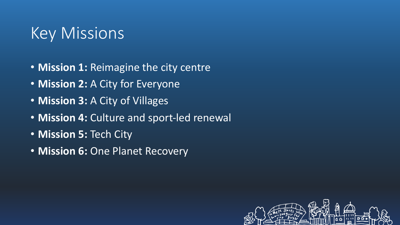## Key Missions

- **Mission 1:** Reimagine the city centre
- **Mission 2:** A City for Everyone
- **Mission 3:** A City of Villages
- **Mission 4:** Culture and sport-led renewal
- **Mission 5:** Tech City
- **Mission 6:** One Planet Recovery

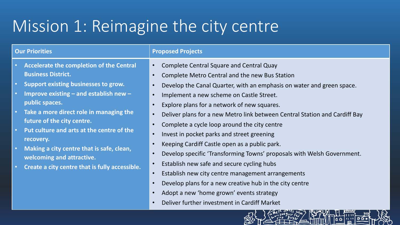# Mission 1: Reimagine the city centre

| <b>Our Priorities</b>                                                                                                                                                                                                                                                                                                                                                                                                                                                                                                                                                                                                                                                                               | <b>Proposed Projects</b>                                                                                                                                                                                                                                                                                                                                                                                                                                                                                                                                                                                                                                                                                                                                                               |
|-----------------------------------------------------------------------------------------------------------------------------------------------------------------------------------------------------------------------------------------------------------------------------------------------------------------------------------------------------------------------------------------------------------------------------------------------------------------------------------------------------------------------------------------------------------------------------------------------------------------------------------------------------------------------------------------------------|----------------------------------------------------------------------------------------------------------------------------------------------------------------------------------------------------------------------------------------------------------------------------------------------------------------------------------------------------------------------------------------------------------------------------------------------------------------------------------------------------------------------------------------------------------------------------------------------------------------------------------------------------------------------------------------------------------------------------------------------------------------------------------------|
| Accelerate the completion of the Central<br>$\bullet$<br>$\bullet$<br><b>Business District.</b><br>$\bullet$<br>Support existing businesses to grow.<br>$\bullet$<br>$\bullet$<br>Improve existing $-$ and establish new $-$<br>$\bullet$<br>$\bullet$<br>public spaces.<br>$\bullet$<br>Take a more direct role in managing the<br>$\bullet$<br>$\bullet$<br>future of the city centre.<br>$\bullet$<br>Put culture and arts at the centre of the<br>$\bullet$<br>$\bullet$<br>recovery.<br>$\bullet$<br>Making a city centre that is safe, clean,<br>$\bullet$<br>welcoming and attractive.<br>$\bullet$<br>Create a city centre that is fully accessible.<br>$\bullet$<br>$\bullet$<br>$\bullet$ | <b>Complete Central Square and Central Quay</b><br>Complete Metro Central and the new Bus Station<br>Develop the Canal Quarter, with an emphasis on water and green space.<br>Implement a new scheme on Castle Street.<br>Explore plans for a network of new squares.<br>Deliver plans for a new Metro link between Central Station and Cardiff Bay<br>Complete a cycle loop around the city centre<br>Invest in pocket parks and street greening<br>Keeping Cardiff Castle open as a public park.<br>Develop specific 'Transforming Towns' proposals with Welsh Government.<br>Establish new safe and secure cycling hubs<br>Establish new city centre management arrangements<br>Develop plans for a new creative hub in the city centre<br>Adopt a new 'home grown' events strategy |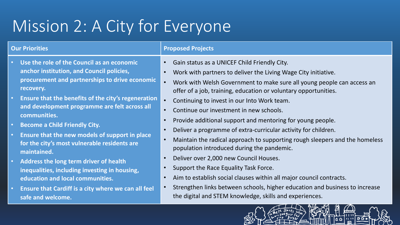# Mission 2: A City for Everyone

### **Our Priorities Proposed Projects**

- **Use the role of the Council as an economic anchor institution, and Council policies, procurement and partnerships to drive economic recovery.**
- **Ensure that the benefits of the city's regeneration and development programme are felt across all communities.**
- **Become a Child Friendly City.**
- **Ensure that the new models of support in place for the city's most vulnerable residents are maintained.**
- **Address the long term driver of health inequalities, including investing in housing, education and local communities.**
- **Ensure that Cardiff is a city where we can all feel safe and welcome.**
- Gain status as a UNICEF Child Friendly City.
- Work with partners to deliver the Living Wage City initiative.
- Work with Welsh Government to make sure all young people can access an offer of a job, training, education or voluntary opportunities.
- Continuing to invest in our Into Work team.
- Continue our investment in new schools.
- Provide additional support and mentoring for young people.
- Deliver a programme of extra-curricular activity for children.
- Maintain the radical approach to supporting rough sleepers and the homeless population introduced during the pandemic.
- Deliver over 2,000 new Council Houses.
- Support the Race Equality Task Force.
- Aim to establish social clauses within all major council contracts.
- Strengthen links between schools, higher education and business to increase the digital and STEM knowledge, skills and experiences.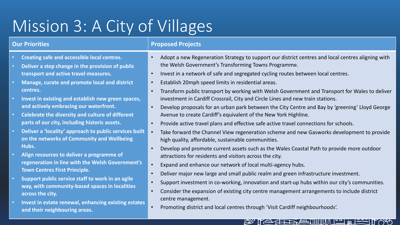# Mission 3: A City of Villages

- **Creating safe and accessible local centres.**
- **Deliver a step change in the provision of public transport and active travel measures.**
- **Manage, curate and promote local and district centres.**
- **Invest in existing and establish new green spaces, and actively embracing our waterfront.**
- **Celebrate the diversity and culture of different parts of our city, including historic assets.**
- **Deliver a 'locality' approach to public services built on the networks of Community and Wellbeing Hubs.**
- **Align resources to deliver a programme of regeneration in line with the Welsh Government's Town Centres First Principle.**
- **Support public service staff to work in an agile way, with community-based spaces in localities across the city.**
- **Invest in estate renewal, enhancing existing estates and their neighbouring areas.**

### **Our Priorities Proposed Projects**

- Adopt a new Regeneration Strategy to support our district centres and local centres aligning with the Welsh Government's Transforming Towns Programme.
- Invest in a network of safe and segregated cycling routes between local centres.
- Establish 20mph speed limits in residential areas.
- Transform public transport by working with Welsh Government and Transport for Wales to deliver investment in Cardiff Crossrail, City and Circle Lines and new train stations.
- Develop proposals for an urban park between the City Centre and Bay by 'greening' Lloyd George Avenue to create Cardiff's equivalent of the New York Highline.
- Provide active travel plans and effective safe active travel connections for schools.
- Take forward the Channel View regeneration scheme and new Gasworks development to provide high quality, affordable, sustainable communities.
- Develop and promote current assets such as the Wales Coastal Path to provide more outdoor attractions for residents and visitors across the city.
- Expand and enhance our network of local multi-agency hubs.
- Deliver major new large and small public realm and green infrastructure investment.
- Support investment in co-working, innovation and start-up hubs within our city's communities.

LE TE TENE TIIIII PLANE

- Consider the expansion of existing city centre management arrangements to include district centre management.
- Promoting district and local centres through 'Visit Cardiff neighbourhoods'.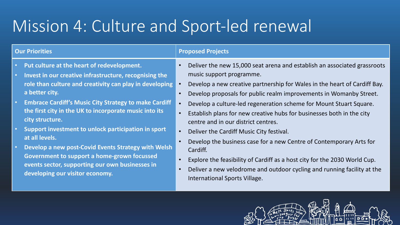# Mission 4: Culture and Sport-led renewal

| <b>Our Priorities</b>                                                                                                                                                                                                                                                                                                                                                                                                                                                                                                                                                                               | <b>Proposed Projects</b>                                                                                                                                                                                                                                                                                                                                                                                                                                                                                                                                                                                                                                                                                                                                                                                                                            |
|-----------------------------------------------------------------------------------------------------------------------------------------------------------------------------------------------------------------------------------------------------------------------------------------------------------------------------------------------------------------------------------------------------------------------------------------------------------------------------------------------------------------------------------------------------------------------------------------------------|-----------------------------------------------------------------------------------------------------------------------------------------------------------------------------------------------------------------------------------------------------------------------------------------------------------------------------------------------------------------------------------------------------------------------------------------------------------------------------------------------------------------------------------------------------------------------------------------------------------------------------------------------------------------------------------------------------------------------------------------------------------------------------------------------------------------------------------------------------|
| Put culture at the heart of redevelopment.<br>Invest in our creative infrastructure, recognising the<br>role than culture and creativity can play in developing<br>a better city.<br><b>Embrace Cardiff's Music City Strategy to make Cardiff</b><br>the first city in the UK to incorporate music into its<br>city structure.<br>Support investment to unlock participation in sport<br>at all levels.<br>Develop a new post-Covid Events Strategy with Welsh<br>Government to support a home-grown focussed<br>events sector, supporting our own businesses in<br>developing our visitor economy. | Deliver the new 15,000 seat arena and establish an associated grassroots<br>$\bullet$<br>music support programme.<br>Develop a new creative partnership for Wales in the heart of Cardiff Bay.<br>Develop proposals for public realm improvements in Womanby Street.<br>$\bullet$<br>Develop a culture-led regeneration scheme for Mount Stuart Square.<br>Establish plans for new creative hubs for businesses both in the city<br>$\bullet$<br>centre and in our district centres.<br>Deliver the Cardiff Music City festival.<br>$\bullet$<br>Develop the business case for a new Centre of Contemporary Arts for<br>Cardiff.<br>Explore the feasibility of Cardiff as a host city for the 2030 World Cup.<br>$\bullet$<br>Deliver a new velodrome and outdoor cycling and running facility at the<br>$\bullet$<br>International Sports Village. |

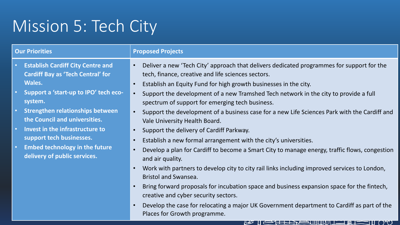# Mission 5: Tech City

| <b>Our Priorities</b>                                                                                                                                                                                                                                                                                                                                                         | <b>Proposed Projects</b>                                                                                                                                                                                                                                                                                                                                                                                                                                                                                                                                                                                                                                                                                                                                                                                                                                                                                                                                                                                                                                                                |
|-------------------------------------------------------------------------------------------------------------------------------------------------------------------------------------------------------------------------------------------------------------------------------------------------------------------------------------------------------------------------------|-----------------------------------------------------------------------------------------------------------------------------------------------------------------------------------------------------------------------------------------------------------------------------------------------------------------------------------------------------------------------------------------------------------------------------------------------------------------------------------------------------------------------------------------------------------------------------------------------------------------------------------------------------------------------------------------------------------------------------------------------------------------------------------------------------------------------------------------------------------------------------------------------------------------------------------------------------------------------------------------------------------------------------------------------------------------------------------------|
| <b>Establish Cardiff City Centre and</b><br><b>Cardiff Bay as 'Tech Central' for</b><br><b>Wales.</b><br>Support a 'start-up to IPO' tech eco-<br>system.<br><b>Strengthen relationships between</b><br>the Council and universities.<br>Invest in the infrastructure to<br>support tech businesses.<br><b>Embed technology in the future</b><br>delivery of public services. | Deliver a new 'Tech City' approach that delivers dedicated programmes for support for the<br>$\bullet$<br>tech, finance, creative and life sciences sectors.<br>Establish an Equity Fund for high growth businesses in the city.<br>$\bullet$<br>Support the development of a new Tramshed Tech network in the city to provide a full<br>$\bullet$<br>spectrum of support for emerging tech business.<br>Support the development of a business case for a new Life Sciences Park with the Cardiff and<br>$\bullet$<br>Vale University Health Board.<br>Support the delivery of Cardiff Parkway.<br>$\bullet$<br>Establish a new formal arrangement with the city's universities.<br>$\bullet$<br>Develop a plan for Cardiff to become a Smart City to manage energy, traffic flows, congestion<br>and air quality.<br>Work with partners to develop city to city rail links including improved services to London,<br><b>Bristol and Swansea.</b><br>Bring forward proposals for incubation space and business expansion space for the fintech,<br>creative and cyber security sectors. |
|                                                                                                                                                                                                                                                                                                                                                                               | Develop the case for relocating a major UK Government department to Cardiff as part of the                                                                                                                                                                                                                                                                                                                                                                                                                                                                                                                                                                                                                                                                                                                                                                                                                                                                                                                                                                                              |

Places for Growth programme.

### **LEALLASUMMILLE** )HU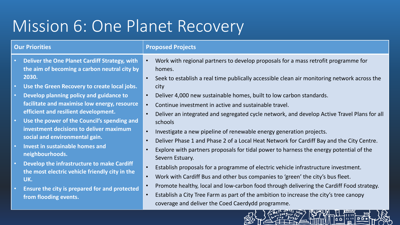# Mission 6: One Planet Recovery

**from flooding events.** 

| <b>Our Priorities</b>                                                                                                 | <b>Proposed Projects</b>                                                                                                                                                                    |
|-----------------------------------------------------------------------------------------------------------------------|---------------------------------------------------------------------------------------------------------------------------------------------------------------------------------------------|
| Deliver the One Planet Cardiff Strategy, with<br>$\bullet$ .<br>the aim of becoming a carbon neutral city by<br>2030. | Work with regional partners to develop proposals for a mass retrofit programme for<br>homes.<br>Seek to establish a real time publically accessible clean air monitoring network across the |
| Use the Green Recovery to create local jobs.<br>$\bullet$ .                                                           | city                                                                                                                                                                                        |
| Develop planning policy and guidance to<br>$\bullet$                                                                  | Deliver 4,000 new sustainable homes, built to low carbon standards.                                                                                                                         |
| facilitate and maximise low energy, resource<br>efficient and resilient development.                                  | Continue investment in active and sustainable travel.                                                                                                                                       |
|                                                                                                                       | Deliver an integrated and segregated cycle network, and develop Active Travel Plans for all                                                                                                 |
| Use the power of the Council's spending and<br>$\bullet$ .                                                            | schools                                                                                                                                                                                     |
| investment decisions to deliver maximum                                                                               | Investigate a new pipeline of renewable energy generation projects.                                                                                                                         |
| social and environmental gain.                                                                                        | Deliver Phase 1 and Phase 2 of a Local Heat Network for Cardiff Bay and the City Centre.                                                                                                    |
| Invest in sustainable homes and<br>$\bullet$<br>neighbourhoods.                                                       | Explore with partners proposals for tidal power to harness the energy potential of the<br>Severn Estuary.                                                                                   |
| Develop the infrastructure to make Cardiff<br>$\bullet$<br>the most electric vehicle friendly city in the<br>UK.      | Establish proposals for a programme of electric vehicle infrastructure investment.                                                                                                          |
|                                                                                                                       | Work with Cardiff Bus and other bus companies to 'green' the city's bus fleet.                                                                                                              |
| Ensure the city is prepared for and protected<br>$\bullet$ .                                                          | Promote healthy, local and low-carbon food through delivering the Cardiff Food strategy.                                                                                                    |

• Establish a City Tree Farm as part of the ambition to increase the city's tree canopy coverage and deliver the Coed Caerdydd programme.

l a c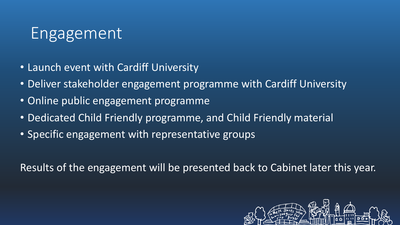## Engagement

- Launch event with Cardiff University
- Deliver stakeholder engagement programme with Cardiff University
- Online public engagement programme
- Dedicated Child Friendly programme, and Child Friendly material
- Specific engagement with representative groups

Results of the engagement will be presented back to Cabinet later this year.